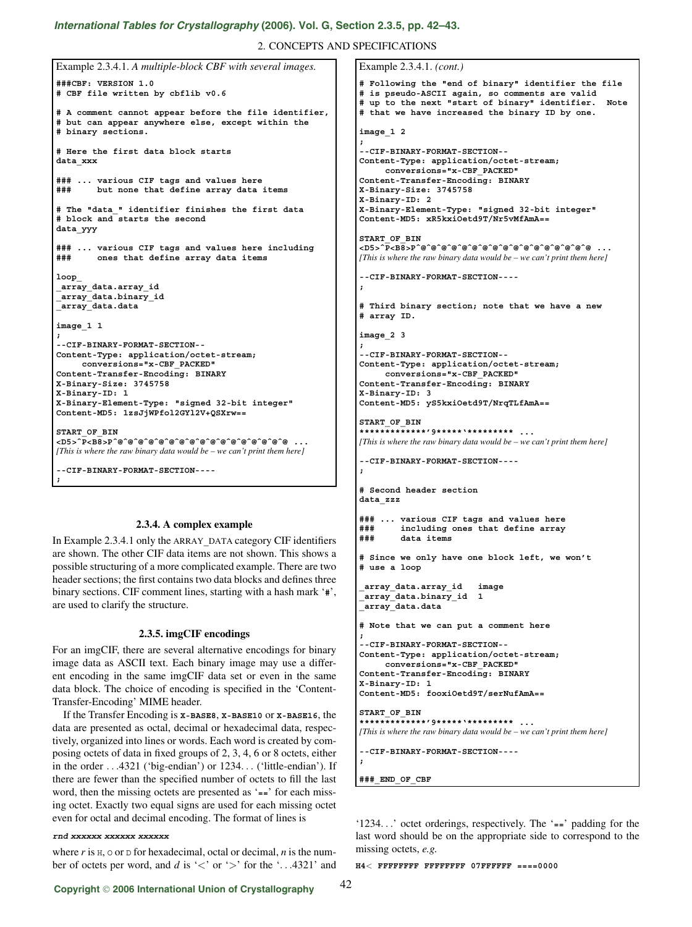# *[International Tables for Crystallography](http://it.iucr.org/Ga/ch2o3v0001/sec2o3o5/)* **(2006). Vol. G, Section 2.3.5, pp. 42–43.**

2. CONCEPTS AND SPECIFICATIONS

Example 2.3.4.1. *(cont.)*

```
Example 2.3.4.1. A multiple-block CBF with several images.
###CBF: VERSION 1.0
# CBF file written by cbflib v0.6
# A comment cannot appear before the file identifier,
# but can appear anywhere else, except within the
# binary sections.
# Here the first data block starts
data_xxx
### ... various CIF tags and values here
### but none that define array data items
# The "data_" identifier finishes the first data
# block and starts the second
data_yyy
### ... various CIF tags and values here including
### ones that define array data items
loop_
_array_data.array_id
_array_data.binary_id
_array_data.data
image_1 1
;
--CIF-BINARY-FORMAT-SECTION--
Content-Type: application/octet-stream;
     conversions="x-CBF_PACKED"
Content-Transfer-Encoding: BINARY
X-Binary-Size: 3745758
X-Binary-ID: 1
X-Binary-Element-Type: "signed 32-bit integer"
Content-MD5: 1zsJjWPfol2GYl2V+QSXrw==
START_OF_BIN
<D5>ˆP<B8>Pˆ@ˆ@ˆ@ˆ@ˆ@ˆ@ˆ@ˆ@ˆ@ˆ@ˆ@ˆ@ˆ@ˆ@ˆ@ˆ@ˆ@ ...
[This is where the raw binary data would be – we can't print them here]
--CIF-BINARY-FORMAT-SECTION----
;
```
# **2.3.4. A complex example**

In Example 2.3.4.1 only the ARRAY**\_**DATA category CIF identifiers are shown. The other CIF data items are not shown. This shows a possible structuring of a more complicated example. There are two header sections; the first contains two data blocks and defines three binary sections. CIF comment lines, starting with a hash mark '**#**', are used to clarify the structure.

## **2.3.5. imgCIF encodings**

For an imgCIF, there are several alternative encodings for binary image data as ASCII text. Each binary image may use a different encoding in the same imgCIF data set or even in the same data block. The choice of encoding is specified in the 'Content-Transfer-Encoding' MIME header.

If the Transfer Encoding is **X-BASE8**, **X-BASE10** or **X-BASE16**, the data are presented as octal, decimal or hexadecimal data, respectively, organized into lines or words. Each word is created by composing octets of data in fixed groups of 2, 3, 4, 6 or 8 octets, either in the order ...4321 ('big-endian') or 1234... ('little-endian'). If there are fewer than the specified number of octets to fill the last word, then the missing octets are presented as '**==**' for each missing octet. Exactly two equal signs are used for each missing octet even for octal and decimal encoding. The format of lines is

## **rnd xxxxxx xxxxxx xxxxxx**

where  $r$  is  $H$ ,  $\circ$  or  $D$  for hexadecimal, octal or decimal,  $n$  is the number of octets per word, and  $d$  is ' $\lt'$ ' or ' $>$ ' for the '...4321' and

```
# Following the "end of binary" identifier the file
# is pseudo-ASCII again, so comments are valid
# up to the next "start of binary" identifier. Note
# that we have increased the binary ID by one.
image_1 2
;
--CIF-BINARY-FORMAT-SECTION--
Content-Type: application/octet-stream;
     conversions="x-CBF_PACKED"
Content-Transfer-Encoding: BINARY
X-Binary-Size: 3745758
X-Binary-ID: 2
X-Binary-Element-Type: "signed 32-bit integer"
Content-MD5: xR5kxiOetd9T/Nr5vMfAmA==
START_OF_BIN
<D5>ˆP<B8>Pˆ@ˆ@ˆ@ˆ@ˆ@ˆ@ˆ@ˆ@ˆ@ˆ@ˆ@ˆ@ˆ@ˆ@ˆ@ˆ@ˆ@ ...
[This is where the raw binary data would be – we can't print them here]
--CIF-BINARY-FORMAT-SECTION----
;
# Third binary section; note that we have a new
# array ID.
image_2 3
;
--CIF-BINARY-FORMAT-SECTION--
Content-Type: application/octet-stream;
     conversions="x-CBF_PACKED"
Content-Transfer-Encoding: BINARY
X-Binary-ID: 3
Content-MD5: yS5kxiOetd9T/NrqTLfAmA==
START_OF_BIN
*************'9*****'********* ...
[This is where the raw binary data would be – we can't print them here]
--CIF-BINARY-FORMAT-SECTION----
;
# Second header section
data_zzz
### ... various CIF tags and values here
### including ones that define array
### data items
# Since we only have one block left, we won't
# use a loop
 _array_data.array_id image
_array_data.binary_id 1
_array_data.data
# Note that we can put a comment here
;
--CIF-BINARY-FORMAT-SECTION--
Content-Type: application/octet-stream;
     conversions="x-CBF_PACKED"
Content-Transfer-Encoding: BINARY
X-Binary-ID: 1
Content-MD5: fooxiOetd9T/serNufAmA==
START_OF_BIN
*************'9*****'********* ...
[This is where the raw binary data would be – we can't print them here]
--CIF-BINARY-FORMAT-SECTION----
;
###_END_OF_CBF
```
'1234...' octet orderings, respectively. The '**==**' padding for the last word should be on the appropriate side to correspond to the missing octets, *e.g.*

**H4**< **FFFFFFFF FFFFFFFF 07FFFFFF ====0000**

# **Copyright** © **2006 International Union of Crystallography**

```
42
```